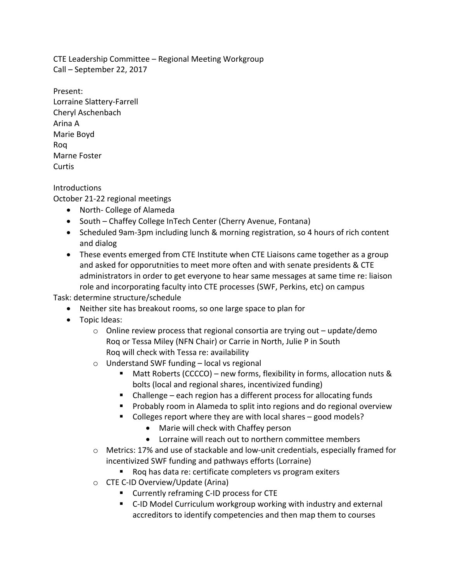CTE Leadership Committee – Regional Meeting Workgroup Call – September 22, 2017

Present: Lorraine Slattery-Farrell Cheryl Aschenbach Arina A Marie Boyd Roq Marne Foster Curtis

**Introductions** 

October 21-22 regional meetings

- North- College of Alameda
- South Chaffey College InTech Center (Cherry Avenue, Fontana)
- Scheduled 9am-3pm including lunch & morning registration, so 4 hours of rich content and dialog
- These events emerged from CTE Institute when CTE Liaisons came together as a group and asked for opporutnities to meet more often and with senate presidents & CTE administrators in order to get everyone to hear same messages at same time re: liaison role and incorporating faculty into CTE processes (SWF, Perkins, etc) on campus

Task: determine structure/schedule

- Neither site has breakout rooms, so one large space to plan for
- Topic Ideas:
	- $\circ$  Online review process that regional consortia are trying out update/demo Rog or Tessa Miley (NFN Chair) or Carrie in North, Julie P in South Rog will check with Tessa re: availability
	- $\circ$  Understand SWF funding local vs regional
		- **E** Matt Roberts (CCCCO) new forms, flexibility in forms, allocation nuts & bolts (local and regional shares, incentivized funding)
		- Challenge  $-$  each region has a different process for allocating funds
		- Probably room in Alameda to split into regions and do regional overview
		- Colleges report where they are with local shares  $-$  good models?
			- Marie will check with Chaffey person
			- Lorraine will reach out to northern committee members
	- $\circ$  Metrics: 17% and use of stackable and low-unit credentials, especially framed for incentivized SWF funding and pathways efforts (Lorraine)
		- Roq has data re: certificate completers vs program exiters
	- $\circ$  CTE C-ID Overview/Update (Arina)
		- Currently reframing C-ID process for CTE
		- C-ID Model Curriculum workgroup working with industry and external accreditors to identify competencies and then map them to courses